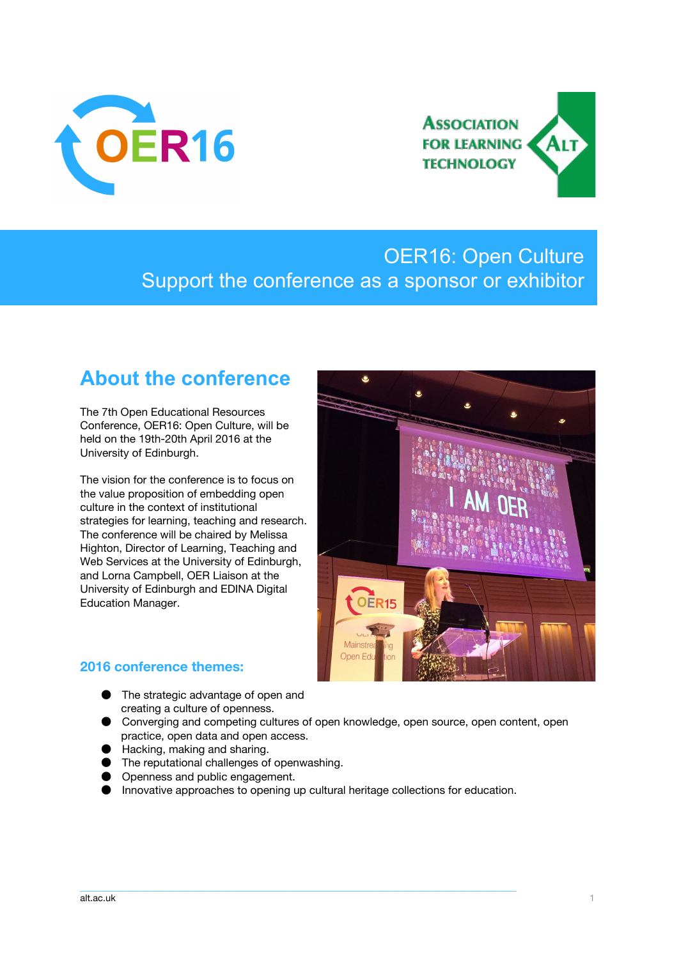



## OER16: Open Culture Support the conference as a sponsor or exhibitor

## **About the conference**

The 7th Open Educational Resources Conference, OER16: Open Culture, will be held on the 19th-20th April 2016 at the University of Edinburgh.

The vision for the conference is to focus on the value proposition of embedding open culture in the context of institutional strategies for learning, teaching and research. The conference will be chaired by Melissa Highton, Director of Learning, Teaching and Web Services at the University of Edinburgh, and Lorna Campbell, OER Liaison at the University of Edinburgh and EDINA Digital Education Manager.



### **2016 conference themes:**

- The strategic advantage of open and creating a culture of openness.
- Converging and competing cultures of open knowledge, open source, open content, open practice, open data and open access.
- Hacking, making and sharing.
- The reputational challenges of openwashing.
- Openness and public engagement.
- Innovative approaches to opening up cultural heritage collections for education.

\_\_\_\_\_\_\_\_\_\_\_\_\_\_\_\_\_\_\_\_\_\_\_\_\_\_\_\_\_\_\_\_\_\_\_\_\_\_\_\_\_\_\_\_\_\_\_\_\_\_\_\_\_\_\_\_\_\_\_\_\_\_\_\_\_\_\_\_\_\_\_\_\_\_\_\_\_\_\_\_\_\_\_\_\_\_\_\_\_\_\_\_\_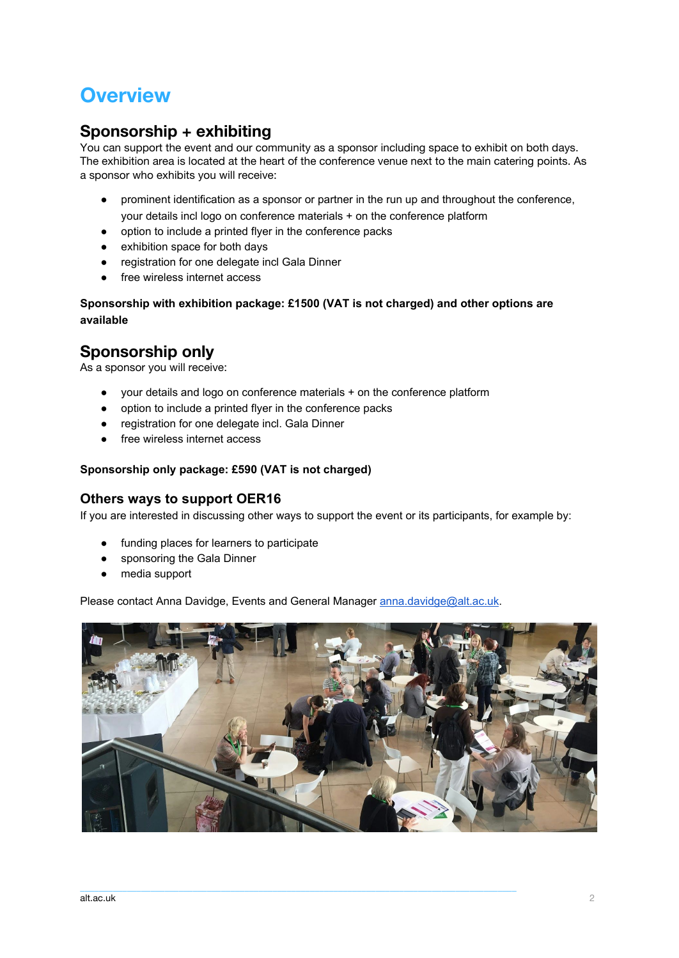## **Overview**

### **Sponsorship + exhibiting**

You can support the event and our community as a sponsor including space to exhibit on both days. The exhibition area is located at the heart of the conference venue next to the main catering points. As a sponsor who exhibits you will receive:

- prominent identification as a sponsor or partner in the run up and throughout the conference, your details incl logo on conference materials + on the conference platform
- option to include a printed flyer in the conference packs
- exhibition space for both days
- registration for one delegate incl Gala Dinner
- free wireless internet access

**Sponsorship with exhibition package: £1500 (VAT is not charged) and other options are available**

### **Sponsorship only**

As a sponsor you will receive:

- your details and logo on conference materials + on the conference platform
- option to include a printed flyer in the conference packs
- registration for one delegate incl. Gala Dinner
- free wireless internet access

#### **Sponsorship only package: £590 (VAT is not charged)**

### **Others ways to support OER16**

If you are interested in discussing other ways to support the event or its participants, for example by:

- funding places for learners to participate
- sponsoring the Gala Dinner
- media support

Please contact Anna Davidge, Events and General Manager [anna.davidge@alt.ac.uk.](mailto:anna.davidge@alt.ac.uk)

 $\_$  , and the state of the state of the state of the state of the state of the state of the state of the state of the state of the state of the state of the state of the state of the state of the state of the state of the